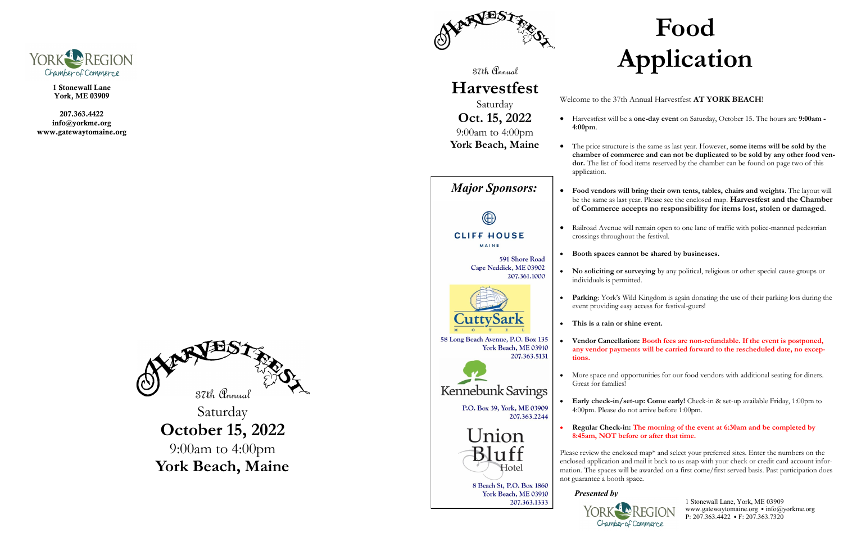

1 Stonewall Lane York, ME 03909

207.363.4422 info@yorkme.org www.gatewaytomaine.org





*Major Sponsors:* ŒE **CLIFF HOUSE** 

MAINE

591 Shore Road Cape Neddick, ME 03902 207.361.1000



58 Long Beach Avenue, P.O. Box 135 York Beach, ME 03910 207.363.5131



Kennebunk Savings

Saturday **October 15, 2022** 9:00am to 4:00pm **York Beach, Maine**

P.O. Box 39, York, ME 03909 207.363.2244



8 Beach St, P.O. Box 1860 York Beach, ME 03910 207.363.1333

37th Annual

# **Harvestfest**

Saturday

• The price structure is the same as last year. However, **some items will be sold by the chamber of commerce and can not be duplicated to be sold by any other food ven**dor. The list of food items reserved by the chamber can be found on page two of this

**Oct. 15, 2022** 9:00am to 4:00pm **York Beach, Maine**

### Welcome to the 37th Annual Harvestfest **AT YORK BEACH**!

• Harvestfest will be a **one-day event** on Saturday, October 15. The hours are **9:00am -**

• **Food vendors will bring their own tents, tables, chairs and weights**. The layout will be the same as last year. Please see the enclosed map. **Harvestfest and the Chamber of Commerce accepts no responsibility for items lost, stolen or damaged**.

• Railroad Avenue will remain open to one lane of traffic with police-manned pedestrian crossings throughout the festival.

- **4:00pm**.
- application.
- 
- 
- 
- individuals is permitted.
- 
- **This is a rain or shine event.**
- **tions.**
- Great for families!
- 
- 

### • **Booth spaces cannot be shared by businesses.**

• **No soliciting or surveying** by any political, religious or other special cause groups or

• **Parking**: York's Wild Kingdom is again donating the use of their parking lots during the event providing easy access for festival-goers!

• **Vendor Cancellation: Booth fees are non-refundable. If the event is postponed, any vendor payments will be carried forward to the rescheduled date, no excep-**

• More space and opportunities for our food vendors with additional seating for diners.

• **Early check-in/set-up: Come early!** Check-in & set-up available Friday, 1:00pm to 4:00pm. Please do not arrive before 1:00pm.

### • **Regular Check-in: The morning of the event at 6:30am and be completed by 8:45am, NOT before or after that time.**

Please review the enclosed map\* and select your preferred sites. Enter the numbers on the enclosed application and mail it back to us asap with your check or credit card account information. The spaces will be awarded on a first come/first served basis. Past participation does not guarantee a booth space.

*Presented by*



1 Stonewall Lane, York, ME 03909 www.gatewaytomaine.org *•* info@yorkme.org P: 207.363.4422 *•* F: 207.363.7320

# **Food Application**